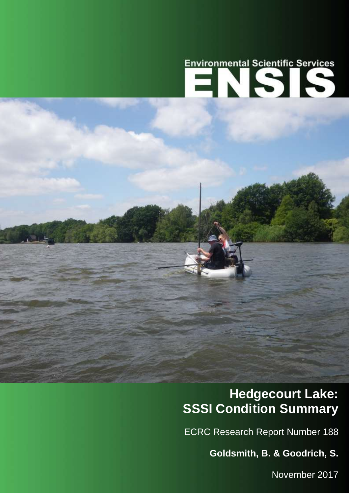# Environmental Scientific Services

## **Hedgecourt Lake: SSSI Condition Summary**

ECRC Research Report Number 188

**Goldsmith, B. & Goodrich, S.**

1 November 2017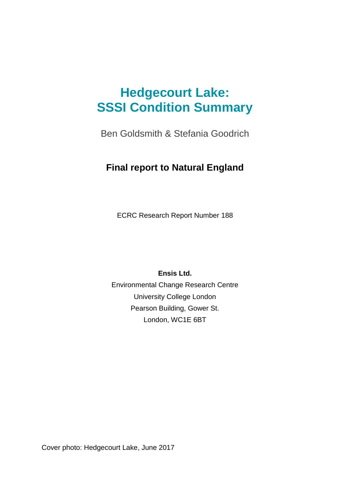## **Hedgecourt Lake: SSSI Condition Summary**

Ben Goldsmith & Stefania Goodrich

## **Final report to Natural England**

ECRC Research Report Number 188

**Ensis Ltd.**

Environmental Change Research Centre University College London Pearson Building, Gower St. London, WC1E 6BT

Cover photo: Hedgecourt Lake, June 2017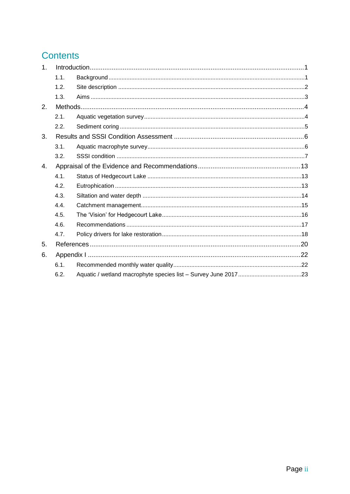## **Contents**

| 1. |      |  |
|----|------|--|
|    | 1.1. |  |
|    | 1.2. |  |
|    | 1.3. |  |
| 2. |      |  |
|    | 2.1. |  |
|    | 2.2. |  |
| 3. |      |  |
|    | 3.1. |  |
|    | 3.2. |  |
| 4. |      |  |
|    | 4.1. |  |
|    | 4.2. |  |
|    | 4.3. |  |
|    | 4.4. |  |
|    | 4.5. |  |
|    | 4.6. |  |
|    | 4.7. |  |
| 5. |      |  |
| 6. |      |  |
|    | 6.1. |  |
|    | 6.2. |  |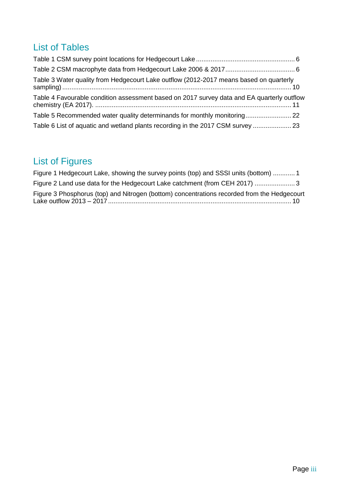## List of Tables

| Table 3 Water quality from Hedgecourt Lake outflow (2012-2017 means based on quarterly     |  |
|--------------------------------------------------------------------------------------------|--|
| Table 4 Favourable condition assessment based on 2017 survey data and EA quarterly outflow |  |
| Table 5 Recommended water quality determinands for monthly monitoring 22                   |  |
| Table 6 List of aquatic and wetland plants recording in the 2017 CSM survey  23            |  |

## List of Figures

| Figure 1 Hedgecourt Lake, showing the survey points (top) and SSSI units (bottom)  1        |  |
|---------------------------------------------------------------------------------------------|--|
| Figure 2 Land use data for the Hedgecourt Lake catchment (from CEH 2017) 3                  |  |
| Figure 3 Phosphorus (top) and Nitrogen (bottom) concentrations recorded from the Hedgecourt |  |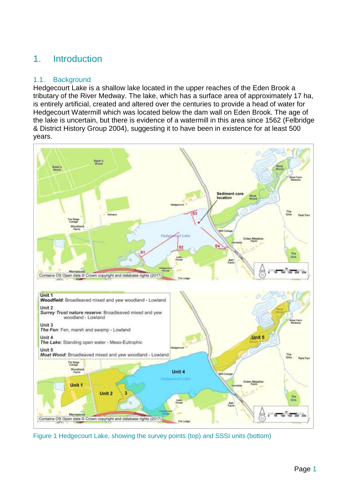## <span id="page-4-0"></span>1. Introduction

#### <span id="page-4-1"></span>1.1. Background

Hedgecourt Lake is a shallow lake located in the upper reaches of the Eden Brook a tributary of the River Medway. The lake, which has a surface area of approximately 17 ha, is entirely artificial, created and altered over the centuries to provide a head of water for Hedgecourt Watermill which was located below the dam wall on Eden Brook. The age of the lake is uncertain, but there is evidence of a watermill in this area since 1562 (Felbridge & District History Group 2004), suggesting it to have been in existence for at least 500 years.



<span id="page-4-2"></span>Figure 1 Hedgecourt Lake, showing the survey points (top) and SSSI units (bottom)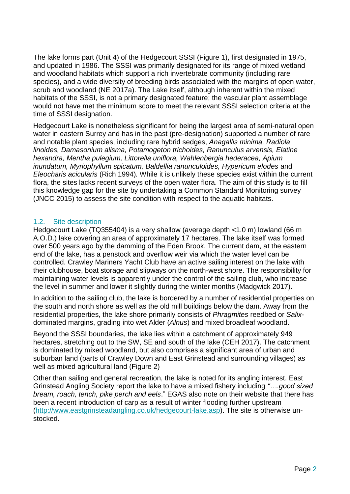The lake forms part (Unit 4) of the Hedgecourt SSSI [\(Figure 1\)](#page-4-2), first designated in 1975, and updated in 1986. The SSSI was primarily designated for its range of mixed wetland and woodland habitats which support a rich invertebrate community (including rare species), and a wide diversity of breeding birds associated with the margins of open water, scrub and woodland (NE 2017a). The Lake itself, although inherent within the mixed habitats of the SSSI, is not a primary designated feature; the vascular plant assemblage would not have met the minimum score to meet the relevant SSSI selection criteria at the time of SSSI designation.

Hedgecourt Lake is nonetheless significant for being the largest area of semi-natural open water in eastern Surrey and has in the past (pre-designation) supported a number of rare and notable plant species, including rare hybrid sedges, *Anagallis minima, Radiola linoides, Damasonium alisma, Potamogeton trichoides, Ranunculus arvensis, Elatine hexandra, Mentha pulegium, Littorella uniflora, Wahlenbergia hederacea, Apium inundatum, Myriophyllum spicatum, Baldellia ranunculoides, Hypericum elodes* and *Eleocharis acicularis* (Rich 1994)*.* While it is unlikely these species exist within the current flora, the sites lacks recent surveys of the open water flora. The aim of this study is to fill this knowledge gap for the site by undertaking a Common Standard Monitoring survey (JNCC 2015) to assess the site condition with respect to the aquatic habitats.

#### <span id="page-5-0"></span>1.2. Site description

Hedgecourt Lake (TQ355404) is a very shallow (average depth <1.0 m) lowland (66 m A.O.D.) lake covering an area of approximately 17 hectares. The lake itself was formed over 500 years ago by the damming of the Eden Brook. The current dam, at the eastern end of the lake, has a penstock and overflow weir via which the water level can be controlled. Crawley Mariners Yacht Club have an active sailing interest on the lake with their clubhouse, boat storage and slipways on the north-west shore. The responsibility for maintaining water levels is apparently under the control of the sailing club, who increase the level in summer and lower it slightly during the winter months (Madgwick 2017).

In addition to the sailing club, the lake is bordered by a number of residential properties on the south and north shore as well as the old mill buildings below the dam. Away from the residential properties, the lake shore primarily consists of *Phragmites* reedbed or *Salix*dominated margins, grading into wet Alder (*Alnus*) and mixed broadleaf woodland.

Beyond the SSSI boundaries, the lake lies within a catchment of approximately 949 hectares, stretching out to the SW, SE and south of the lake (CEH 2017). The catchment is dominated by mixed woodland, but also comprises a significant area of urban and suburban land (parts of Crawley Down and East Grinstead and surrounding villages) as well as mixed agricultural land [\(Figure 2\)](#page-6-1)

Other than sailing and general recreation, the lake is noted for its angling interest. East Grinstead Angling Society report the lake to have a mixed fishery including *"….good sized bream, roach, tench, pike perch and eels*." EGAS also note on their website that there has been a recent introduction of carp as a result of winter flooding further upstream [\(http://www.eastgrinsteadangling.co.uk/hedgecourt-lake.asp\)](http://www.eastgrinsteadangling.co.uk/hedgecourt-lake.asp). The site is otherwise unstocked.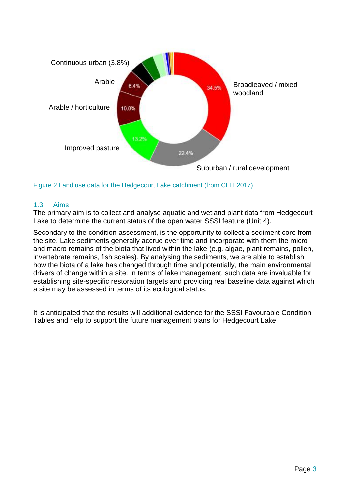

<span id="page-6-1"></span>Figure 2 Land use data for the Hedgecourt Lake catchment (from CEH 2017)

#### <span id="page-6-0"></span>1.3. Aims

The primary aim is to collect and analyse aquatic and wetland plant data from Hedgecourt Lake to determine the current status of the open water SSSI feature (Unit 4).

Secondary to the condition assessment, is the opportunity to collect a sediment core from the site. Lake sediments generally accrue over time and incorporate with them the micro and macro remains of the biota that lived within the lake (e.g. algae, plant remains, pollen, invertebrate remains, fish scales). By analysing the sediments, we are able to establish how the biota of a lake has changed through time and potentially, the main environmental drivers of change within a site. In terms of lake management, such data are invaluable for establishing site-specific restoration targets and providing real baseline data against which a site may be assessed in terms of its ecological status.

It is anticipated that the results will additional evidence for the SSSI Favourable Condition Tables and help to support the future management plans for Hedgecourt Lake.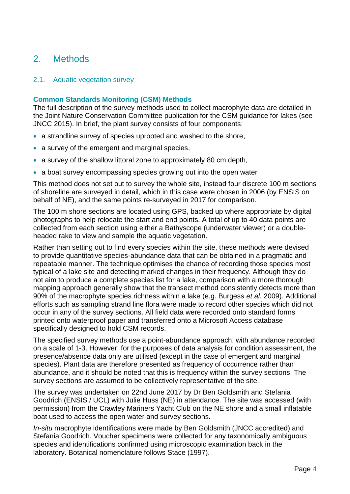## <span id="page-7-0"></span>2. Methods

#### <span id="page-7-1"></span>2.1. Aquatic vegetation survey

#### **Common Standards Monitoring (CSM) Methods**

The full description of the survey methods used to collect macrophyte data are detailed in the Joint Nature Conservation Committee publication for the CSM guidance for lakes (see JNCC 2015). In brief, the plant survey consists of four components:

- a strandline survey of species uprooted and washed to the shore,
- a survey of the emergent and marginal species,
- a survey of the shallow littoral zone to approximately 80 cm depth,
- a boat survey encompassing species growing out into the open water

This method does not set out to survey the whole site, instead four discrete 100 m sections of shoreline are surveyed in detail, which in this case were chosen in 2006 (by ENSIS on behalf of NE), and the same points re-surveyed in 2017 for comparison.

The 100 m shore sections are located using GPS, backed up where appropriate by digital photographs to help relocate the start and end points. A total of up to 40 data points are collected from each section using either a Bathyscope (underwater viewer) or a doubleheaded rake to view and sample the aquatic vegetation.

Rather than setting out to find every species within the site, these methods were devised to provide quantitative species-abundance data that can be obtained in a pragmatic and repeatable manner. The technique optimises the chance of recording those species most typical of a lake site and detecting marked changes in their frequency. Although they do not aim to produce a complete species list for a lake, comparison with a more thorough mapping approach generally show that the transect method consistently detects more than 90% of the macrophyte species richness within a lake (e.g. Burgess *et al.* 2009). Additional efforts such as sampling strand line flora were made to record other species which did not occur in any of the survey sections. All field data were recorded onto standard forms printed onto waterproof paper and transferred onto a Microsoft Access database specifically designed to hold CSM records.

The specified survey methods use a point-abundance approach, with abundance recorded on a scale of 1-3. However, for the purposes of data analysis for condition assessment, the presence/absence data only are utilised (except in the case of emergent and marginal species). Plant data are therefore presented as frequency of occurrence rather than abundance, and it should be noted that this is frequency within the survey sections. The survey sections are assumed to be collectively representative of the site.

The survey was undertaken on 22nd June 2017 by Dr Ben Goldsmith and Stefania Goodrich (ENSIS / UCL) with Julie Huss (NE) in attendance. The site was accessed (with permission) from the Crawley Mariners Yacht Club on the NE shore and a small inflatable boat used to access the open water and survey sections.

*In-situ* macrophyte identifications were made by Ben Goldsmith (JNCC accredited) and Stefania Goodrich. Voucher specimens were collected for any taxonomically ambiguous species and identifications confirmed using microscopic examination back in the laboratory. Botanical nomenclature follows Stace (1997).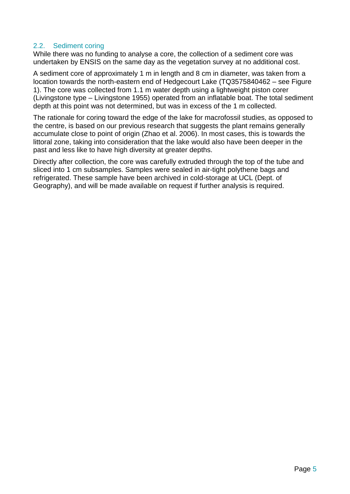#### <span id="page-8-0"></span>2.2. Sediment coring

While there was no funding to analyse a core, the collection of a sediment core was undertaken by ENSIS on the same day as the vegetation survey at no additional cost.

A sediment core of approximately 1 m in length and 8 cm in diameter, was taken from a location towards the north-eastern end of Hedgecourt Lake (TQ3575840462 – see [Figure](#page-4-2)  [1\)](#page-4-2). The core was collected from 1.1 m water depth using a lightweight piston corer (Livingstone type – Livingstone 1955) operated from an inflatable boat. The total sediment depth at this point was not determined, but was in excess of the 1 m collected.

The rationale for coring toward the edge of the lake for macrofossil studies, as opposed to the centre, is based on our previous research that suggests the plant remains generally accumulate close to point of origin (Zhao et al. 2006). In most cases, this is towards the littoral zone, taking into consideration that the lake would also have been deeper in the past and less like to have high diversity at greater depths.

Directly after collection, the core was carefully extruded through the top of the tube and sliced into 1 cm subsamples. Samples were sealed in air-tight polythene bags and refrigerated. These sample have been archived in cold-storage at UCL (Dept. of Geography), and will be made available on request if further analysis is required.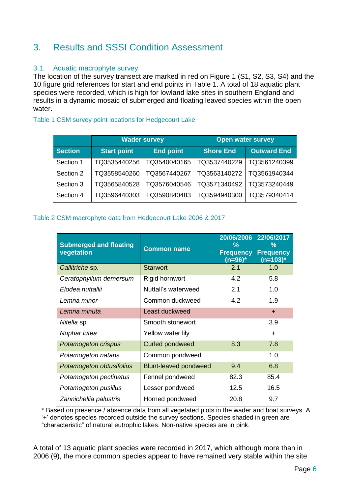## <span id="page-9-0"></span>3. Results and SSSI Condition Assessment

#### <span id="page-9-1"></span>3.1. Aquatic macrophyte survey

The location of the survey transect are marked in red on [Figure 1](#page-4-2) (S1, S2, S3, S4) and the 10 figure grid references for start and end points in [Table 1.](#page-9-2) A total of 18 aquatic plant species were recorded, which is high for lowland lake sites in southern England and results in a dynamic mosaic of submerged and floating leaved species within the open water.

#### <span id="page-9-2"></span>Table 1 CSM survey point locations for Hedgecourt Lake

|                |                    | <b>Wader survey</b> |                  | <b>Open water survey</b> |
|----------------|--------------------|---------------------|------------------|--------------------------|
| <b>Section</b> | <b>Start point</b> |                     | <b>Shore End</b> | <b>Outward End</b>       |
| Section 1      | TQ3535440256       | TQ3540040165        | TQ3537440229     | TQ3561240399             |
| Section 2      | TQ3558540260       | TQ3567440267        | TQ3563140272     | TQ3561940344             |
| Section 3      | TQ3565840528       | TQ3576040546        | TQ3571340492     | TQ3573240449             |
| Section 4      | TQ3596440303       | TQ3590840483        | TQ3594940300     | TQ3579340414             |

#### <span id="page-9-3"></span>Table 2 CSM macrophyte data from Hedgecourt Lake 2006 & 2017

| <b>Submerged and floating</b><br>vegetation | <b>Common name</b>           | 20/06/2006<br>℅<br><b>Frequency</b><br>$(n=96)^*$ | 22/06/2017<br>℅<br><b>Frequency</b><br>(n=103)* |
|---------------------------------------------|------------------------------|---------------------------------------------------|-------------------------------------------------|
| Callitriche sp.                             | <b>Starwort</b>              | 2.1                                               | 1.0                                             |
| Ceratophyllum demersum                      | Rigid hornwort               | 4.2                                               | 5.8                                             |
| Elodea nuttallii                            | Nuttall's waterweed          | 2.1                                               | 1.0                                             |
| Lemna minor                                 | Common duckweed              | 4.2                                               | 1.9                                             |
| Lemna minuta                                | Least duckweed               |                                                   | $+$                                             |
| Nitella sp.                                 | Smooth stonewort             |                                                   | 3.9                                             |
| Nuphar lutea                                | Yellow water lily            |                                                   | $\ddot{}$                                       |
| Potamogeton crispus                         | <b>Curled pondweed</b>       | 8.3                                               | 7.8                                             |
| Potamogeton natans                          | Common pondweed              |                                                   | 1.0                                             |
| Potamogeton obtusifolius                    | <b>Blunt-leaved pondweed</b> | 9.4                                               | 6.8                                             |
| Potamogeton pectinatus                      | Fennel pondweed              | 82.3                                              | 85.4                                            |
| Potamogeton pusillus                        | Lesser pondweed              | 12.5                                              | 16.5                                            |
| Zannichellia palustris                      | Horned pondweed              | 20.8                                              | 9.7                                             |

\* Based on presence / absence data from all vegetated plots in the wader and boat surveys. A '+' denotes species recorded outside the survey sections. Species shaded in green are "characteristic" of natural eutrophic lakes. Non-native species are in pink.

A total of 13 aquatic plant species were recorded in 2017, which although more than in 2006 (9), the more common species appear to have remained very stable within the site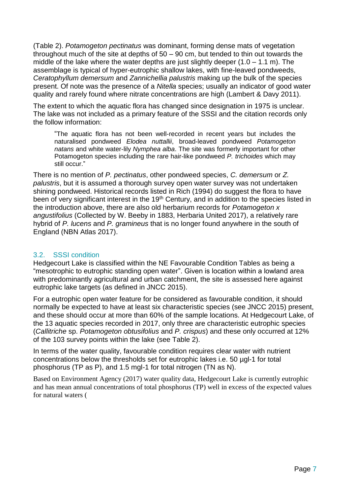[\(Table 2\)](#page-9-3). *Potamogeton pectinatus* was dominant, forming dense mats of vegetation throughout much of the site at depths of 50 – 90 cm, but tended to thin out towards the middle of the lake where the water depths are just slightly deeper  $(1.0 - 1.1 \text{ m})$ . The assemblage is typical of hyper-eutrophic shallow lakes, with fine-leaved pondweeds, *Ceratophyllum demersum* and *Zannichellia palustris* making up the bulk of the species present. Of note was the presence of a *Nitella* species; usually an indicator of good water quality and rarely found where nitrate concentrations are high (Lambert & Davy 2011).

The extent to which the aquatic flora has changed since designation in 1975 is unclear. The lake was not included as a primary feature of the SSSI and the citation records only the follow information:

"The aquatic flora has not been well-recorded in recent years but includes the naturalised pondweed *Elodea nuttallii*, broad-leaved pondweed *Potamogeton natans* and white water-lily *Nymphea alba*. The site was formerly important for other Potamogeton species including the rare hair-like pondweed *P. trichoides* which may still occur."

There is no mention of *P. pectinatus*, other pondweed species, *C. demersum* or *Z. palustris*, but it is assumed a thorough survey open water survey was not undertaken shining pondweed. Historical records listed in Rich (1994) do suggest the flora to have been of very significant interest in the 19<sup>th</sup> Century, and in addition to the species listed in the introduction above, there are also old herbarium records for *Potamogeton x angustifolius* (Collected by W. Beeby in 1883, Herbaria United 2017), a relatively rare hybrid of *P. lucens* and *P. gramineus* that is no longer found anywhere in the south of England (NBN Atlas 2017).

#### <span id="page-10-0"></span>3.2. SSSI condition

Hedgecourt Lake is classified within the NE Favourable Condition Tables as being a "mesotrophic to eutrophic standing open water". Given is location within a lowland area with predominantly agricultural and urban catchment, the site is assessed here against eutrophic lake targets (as defined in JNCC 2015).

For a eutrophic open water feature for be considered as favourable condition, it should normally be expected to have at least six characteristic species (see JNCC 2015) present, and these should occur at more than 60% of the sample locations. At Hedgecourt Lake, of the 13 aquatic species recorded in 2017, only three are characteristic eutrophic species (*Callitriche* sp. *Potamogeton obtusifolius* and *P. crispus*) and these only occurred at 12% of the 103 survey points within the lake (see [Table 2\)](#page-9-3).

In terms of the water quality, favourable condition requires clear water with nutrient concentrations below the thresholds set for eutrophic lakes i.e. 50 µgl-1 for total phosphorus (TP as P), and 1.5 mgl-1 for total nitrogen (TN as N).

Based on Environment Agency (2017) water quality data, Hedgecourt Lake is currently eutrophic and has mean annual concentrations of total phosphorus (TP) well in excess of the expected values for natural waters [\(](#page-12-0)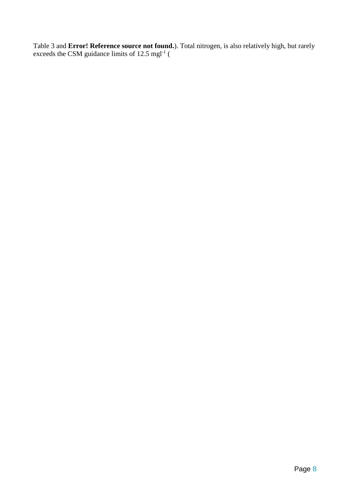[Table 3](#page-12-0) and **Error! Reference source not found.**). Total nitrogen, is also relatively high, but rarely exceeds the CSM guidance limits of  $12.5 \text{ mgl}^{-1}$  [\(](#page-12-0)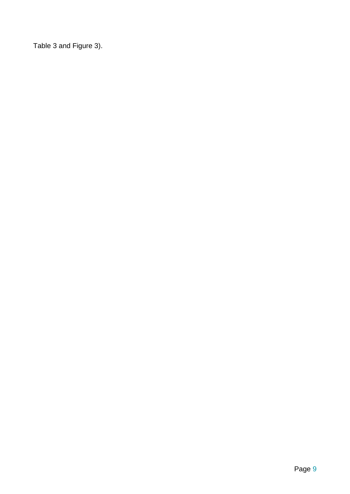<span id="page-12-0"></span>[Table 3](#page-12-0) and [Figure 3\)](#page-13-1).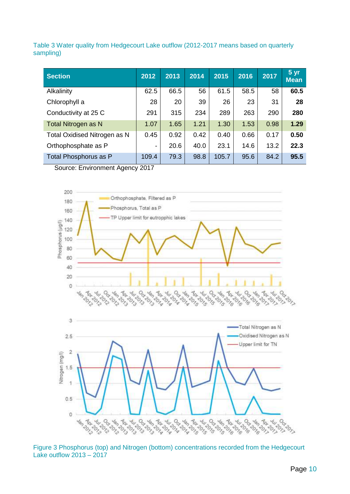<span id="page-13-0"></span>Table 3 Water quality from Hedgecourt Lake outflow (2012-2017 means based on quarterly sampling)

| <b>Section</b>               | 2012  | 2013 | 2014 | 2015  | 2016 | 2017 | 5 <sub>yr</sub><br><b>Mean</b> |
|------------------------------|-------|------|------|-------|------|------|--------------------------------|
| Alkalinity                   | 62.5  | 66.5 | 56   | 61.5  | 58.5 | 58   | 60.5                           |
| Chlorophyll a                | 28    | 20   | 39   | 26    | 23   | 31   | 28                             |
| Conductivity at 25 C         | 291   | 315  | 234  | 289   | 263  | 290  | 280                            |
| <b>Total Nitrogen as N</b>   | 1.07  | 1.65 | 1.21 | 1.30  | 1.53 | 0.98 | 1.29                           |
| Total Oxidised Nitrogen as N | 0.45  | 0.92 | 0.42 | 0.40  | 0.66 | 0.17 | 0.50                           |
| Orthophosphate as P          | -     | 20.6 | 40.0 | 23.1  | 14.6 | 13.2 | 22.3                           |
| Total Phosphorus as P        | 109.4 | 79.3 | 98.8 | 105.7 | 95.6 | 84.2 | 95.5                           |

Source: Environment Agency 2017



<span id="page-13-1"></span>Figure 3 Phosphorus (top) and Nitrogen (bottom) concentrations recorded from the Hedgecourt Lake outflow 2013 – 2017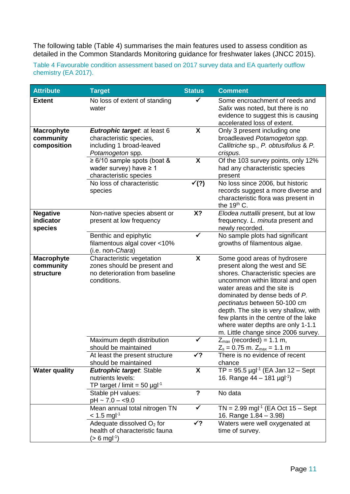The following table [\(Table 4\)](#page-14-0) summarises the main features used to assess condition as detailed in the Common Standards Monitoring guidance for freshwater lakes (JNCC 2015).

<span id="page-14-0"></span>Table 4 Favourable condition assessment based on 2017 survey data and EA quarterly outflow chemistry (EA 2017).

| <b>Attribute</b>                              | <b>Target</b>                                                                                             | <b>Status</b>             | <b>Comment</b>                                                                                                                                                                                                                                                                                                                                                                                        |
|-----------------------------------------------|-----------------------------------------------------------------------------------------------------------|---------------------------|-------------------------------------------------------------------------------------------------------------------------------------------------------------------------------------------------------------------------------------------------------------------------------------------------------------------------------------------------------------------------------------------------------|
| <b>Extent</b>                                 | No loss of extent of standing<br>water                                                                    |                           | Some encroachment of reeds and<br>Salix was noted, but there is no<br>evidence to suggest this is causing<br>accelerated loss of extent.                                                                                                                                                                                                                                                              |
| <b>Macrophyte</b><br>community<br>composition | Eutrophic target: at least 6<br>characteristic species,<br>including 1 broad-leaved<br>Potamogeton spp.   | X                         | Only 3 present including one<br>broadleaved Potamogeton spp.<br>Callitriche sp., P. obtusifolius & P.<br>crispus.                                                                                                                                                                                                                                                                                     |
|                                               | $\geq 6/10$ sample spots (boat &<br>wader survey) have $\geq 1$<br>characteristic species                 | $\boldsymbol{\mathsf{X}}$ | Of the 103 survey points, only 12%<br>had any characteristic species<br>present                                                                                                                                                                                                                                                                                                                       |
|                                               | No loss of characteristic<br>species                                                                      | $\checkmark$ (?)          | No loss since 2006, but historic<br>records suggest a more diverse and<br>characteristic flora was present in<br>the 19th C.                                                                                                                                                                                                                                                                          |
| <b>Negative</b><br>indicator<br>species       | Non-native species absent or<br>present at low frequency                                                  | X?                        | Elodea nuttallii present, but at low<br>frequency. L. minuta present and<br>newly recorded.                                                                                                                                                                                                                                                                                                           |
|                                               | Benthic and epiphytic<br>filamentous algal cover <10%<br>(i.e. non-Chara)                                 | ✓                         | No sample plots had significant<br>growths of filamentous algae.                                                                                                                                                                                                                                                                                                                                      |
| Macrophyte<br>community<br>structure          | Characteristic vegetation<br>zones should be present and<br>no deterioration from baseline<br>conditions. | X                         | Some good areas of hydrosere<br>present along the west and SE<br>shores. Characteristic species are<br>uncommon within littoral and open<br>water areas and the site is<br>dominated by dense beds of P.<br>pectinatus between 50-100 cm<br>depth. The site is very shallow, with<br>few plants in the centre of the lake<br>where water depths are only 1-1.1<br>m. Little change since 2006 survey. |
|                                               | Maximum depth distribution<br>should be maintained                                                        |                           | $Z_{\text{max}}$ (recorded) = 1.1 m,<br>$Z_s = 0.75$ m. $Z_{max} = 1.1$ m                                                                                                                                                                                                                                                                                                                             |
|                                               | At least the present structure<br>should be maintained                                                    | $\checkmark$ ?            | There is no evidence of recent<br>chance                                                                                                                                                                                                                                                                                                                                                              |
| <b>Water quality</b>                          | <b>Eutrophic target: Stable</b><br>nutrients levels:<br>TP target / limit = 50 $\mu$ gl <sup>-1</sup>     | $\boldsymbol{\mathsf{X}}$ | $TP = 95.5 \,\mu g l^{-1}$ (EA Jan 12 – Sept<br>16. Range $44 - 181$ µgl <sup>-1</sup> )                                                                                                                                                                                                                                                                                                              |
|                                               | Stable pH values:<br>pH ~ 7.0 – <9.0                                                                      | $\overline{?}$            | No data                                                                                                                                                                                                                                                                                                                                                                                               |
|                                               | Mean annual total nitrogen TN<br>$< 1.5$ mgl <sup>-1</sup>                                                | ✔                         | $TN = 2.99$ mgl <sup>-1</sup> (EA Oct 15 – Sept<br>16. Range 1.84 – 3.98)                                                                                                                                                                                                                                                                                                                             |
|                                               | Adequate dissolved O <sub>2</sub> for<br>health of characteristic fauna<br>$(> 6 \text{ mgl}^{-1})$       | $\checkmark$ ?            | Waters were well oxygenated at<br>time of survey.                                                                                                                                                                                                                                                                                                                                                     |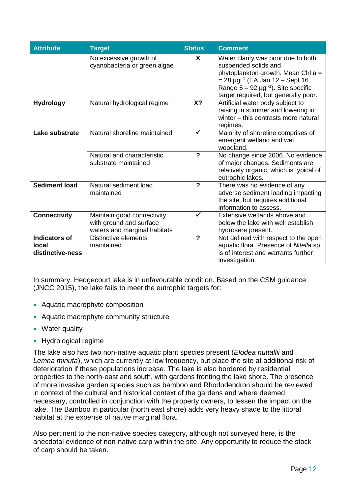| <b>Attribute</b>                                  | <b>Target</b>                                                                         | <b>Status</b>           | <b>Comment</b>                                                                                                                                                                                                                               |
|---------------------------------------------------|---------------------------------------------------------------------------------------|-------------------------|----------------------------------------------------------------------------------------------------------------------------------------------------------------------------------------------------------------------------------------------|
|                                                   | No excessive growth of<br>cyanobacteria or green algae                                | X                       | Water clarity was poor due to both<br>suspended solids and<br>phytoplankton growth. Mean Chl $a =$<br>$= 28 \mu g l^{-1}$ (EA Jan 12 – Sept 16.<br>Range $5 - 92$ µgl <sup>-1</sup> ). Site specific<br>target required, but generally poor. |
| <b>Hydrology</b>                                  | Natural hydrological regime                                                           | X?                      | Artificial water body subject to<br>raising in summer and lowering in<br>winter - this contrasts more natural<br>regimes.                                                                                                                    |
| Lake substrate                                    | Natural shoreline maintained                                                          |                         | Majority of shoreline comprises of<br>emergent wetland and wet<br>woodland.                                                                                                                                                                  |
|                                                   | Natural and characteristic<br>substrate maintained                                    | $\boldsymbol{\gamma}$   | No change since 2006. No evidence<br>of major changes. Sediments are<br>relatively organic, which is typical of<br>eutrophic lakes.                                                                                                          |
| <b>Sediment load</b>                              | Natural sediment load<br>maintained                                                   | $\overline{?}$          | There was no evidence of any<br>adverse sediment loading impacting<br>the site, but requires additional<br>information to assess.                                                                                                            |
| <b>Connectivity</b>                               | Maintain good connectivity<br>with ground and surface<br>waters and marginal habitats |                         | Extensive wetlands above and<br>below the lake with well establish<br>hydrosere present.                                                                                                                                                     |
| <b>Indicators of</b><br>local<br>distinctive-ness | <b>Distinctive elements</b><br>maintained                                             | $\overline{\mathbf{?}}$ | Not defined with respect to the open<br>aquatic flora. Presence of Nitella sp.<br>is of interest and warrants further<br>investigation.                                                                                                      |

In summary, Hedgecourt lake is in unfavourable condition. Based on the CSM guidance (JNCC 2015), the lake fails to meet the eutrophic targets for:

- Aquatic macrophyte composition
- Aquatic macrophyte community structure
- Water quality
- Hydrological regime

The lake also has two non-native aquatic plant species present (*Elodea nuttallii* and *Lemna minuta*), which are currently at low frequency, but place the site at additional risk of deterioration if these populations increase. The lake is also bordered by residential properties to the north-east and south, with gardens fronting the lake shore. The presence of more invasive garden species such as bamboo and Rhododendron should be reviewed in context of the cultural and historical context of the gardens and where deemed necessary, controlled in conjunction with the property owners, to lessen the impact on the lake. The Bamboo in particular (north east shore) adds very heavy shade to the littoral habitat at the expense of native marginal flora.

Also pertinent to the non-native species category, although not surveyed here, is the anecdotal evidence of non-native carp within the site. Any opportunity to reduce the stock of carp should be taken.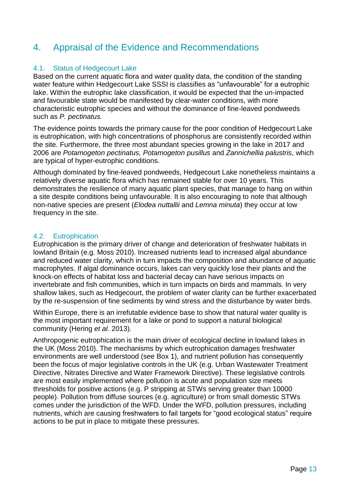## <span id="page-16-0"></span>4. Appraisal of the Evidence and Recommendations

#### <span id="page-16-1"></span>4.1. Status of Hedgecourt Lake

Based on the current aquatic flora and water quality data, the condition of the standing water feature within Hedgecourt Lake SSSI is classifies as "unfavourable" for a eutrophic lake. Within the eutrophic lake classification, it would be expected that the un-impacted and favourable state would be manifested by clear-water conditions, with more characteristic eutrophic species and without the dominance of fine-leaved pondweeds such as *P. pectinatus.*

The evidence points towards the primary cause for the poor condition of Hedgecourt Lake is eutrophication, with high concentrations of phosphorus are consistently recorded within the site. Furthermore, the three most abundant species growing in the lake in 2017 and 2006 are *Potamogeton pectinatus, Potamogeton pusillus* and *Zannichellia palustris*, which are typical of hyper-eutrophic conditions.

Although dominated by fine-leaved pondweeds, Hedgecourt Lake nonetheless maintains a relatively diverse aquatic flora which has remained stable for over 10 years. This demonstrates the resilience of many aquatic plant species, that manage to hang on within a site despite conditions being unfavourable. It is also encouraging to note that although non-native species are present (*Elodea nuttallii* and *Lemna minuta*) they occur at low frequency in the site.

#### <span id="page-16-2"></span>4.2. Eutrophication

Eutrophication is the primary driver of change and deterioration of freshwater habitats in lowland Britain (e.g. Moss 2010). Increased nutrients lead to increased algal abundance and reduced water clarity, which in turn impacts the composition and abundance of aquatic macrophytes. If algal dominance occurs, lakes can very quickly lose their plants and the knock-on effects of habitat loss and bacterial decay can have serious impacts on invertebrate and fish communities, which in turn impacts on birds and mammals. In very shallow lakes, such as Hedgecourt, the problem of water clarity can be further exacerbated by the re-suspension of fine sediments by wind stress and the disturbance by water birds.

Within Europe, there is an irrefutable evidence base to show that natural water quality is the most important requirement for a lake or pond to support a natural biological community (Hering *et al*. 2013).

Anthropogenic eutrophication is the main driver of ecological decline in lowland lakes in the UK (Moss 2010). The mechanisms by which eutrophication damages freshwater environments are well understood (see Box 1), and nutrient pollution has consequently been the focus of major legislative controls in the UK (e.g. Urban Wastewater Treatment Directive, Nitrates Directive and Water Framework Directive). These legislative controls are most easily implemented where pollution is acute and population size meets thresholds for positive actions (e.g. P stripping at STWs serving greater than 10000 people). Pollution from diffuse sources (e.g. agriculture) or from small domestic STWs comes under the jurisdiction of the WFD. Under the WFD, pollution pressures, including nutrients, which are causing freshwaters to fail targets for "good ecological status" require actions to be put in place to mitigate these pressures.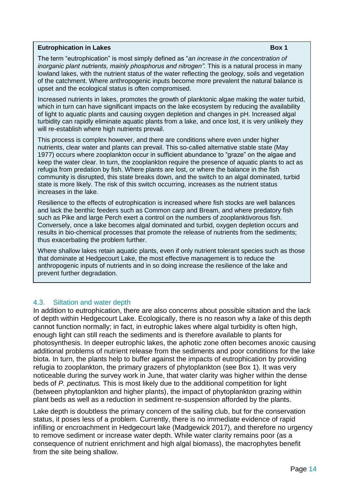#### **Eutrophication in Lakes Box 1**

The term "eutrophication" is most simply defined as "*an increase in the concentration of*  inorganic plant nutrients, mainly phosphorus and nitrogen". This is a natural process in many lowland lakes, with the nutrient status of the water reflecting the geology, soils and vegetation of the catchment. Where anthropogenic inputs become more prevalent the natural balance is upset and the ecological status is often compromised.

Increased nutrients in lakes, promotes the growth of planktonic algae making the water turbid, which in turn can have significant impacts on the lake ecosystem by reducing the availability of light to aquatic plants and causing oxygen depletion and changes in pH. Increased algal turbidity can rapidly eliminate aquatic plants from a lake, and once lost, it is very unlikely they will re-establish where high nutrients prevail.

This process is complex however, and there are conditions where even under higher nutrients, clear water and plants can prevail. This so-called alternative stable state (May 1977) occurs where zooplankton occur in sufficient abundance to "graze" on the algae and keep the water clear. In turn, the zooplankton require the presence of aquatic plants to act as refugia from predation by fish. Where plants are lost, or where the balance in the fish community is disrupted, this state breaks down, and the switch to an algal dominated, turbid state is more likely. The risk of this switch occurring, increases as the nutrient status increases in the lake.

Resilience to the effects of eutrophication is increased where fish stocks are well balances and lack the benthic feeders such as Common carp and Bream, and where predatory fish such as Pike and large Perch exert a control on the numbers of zooplanktivorous fish. Conversely, once a lake becomes algal dominated and turbid, oxygen depletion occurs and results in bio-chemical processes that promote the release of nutrients from the sediments; thus exacerbating the problem further.

Where shallow lakes retain aquatic plants, even if only nutrient tolerant species such as those that dominate at Hedgecourt Lake, the most effective management is to reduce the anthropogenic inputs of nutrients and in so doing increase the resilience of the lake and prevent further degradation.

#### <span id="page-17-0"></span>4.3. Siltation and water depth

In addition to eutrophication, there are also concerns about possible siltation and the lack of depth within Hedgecourt Lake. Ecologically, there is no reason why a lake of this depth cannot function normally; in fact, in eutrophic lakes where algal turbidity is often high, enough light can still reach the sediments and is therefore available to plants for photosynthesis. In deeper eutrophic lakes, the aphotic zone often becomes anoxic causing additional problems of nutrient release from the sediments and poor conditions for the lake biota. In turn, the plants help to buffer against the impacts of eutrophication by providing refugia to zooplankton, the primary grazers of phytoplankton (see Box 1). It was very noticeable during the survey work in June, that water clarity was higher within the dense beds of *P. pectinatus.* This is most likely due to the additional competition for light (between phytoplankton and higher plants), the impact of phytoplankton grazing within plant beds as well as a reduction in sediment re-suspension afforded by the plants.

Lake depth is doubtless the primary concern of the sailing club, but for the conservation status, it poses less of a problem. Currently, there is no immediate evidence of rapid infilling or encroachment in Hedgecourt lake (Madgewick 2017), and therefore no urgency to remove sediment or increase water depth. While water clarity remains poor (as a consequence of nutrient enrichment and high algal biomass), the macrophytes benefit from the site being shallow.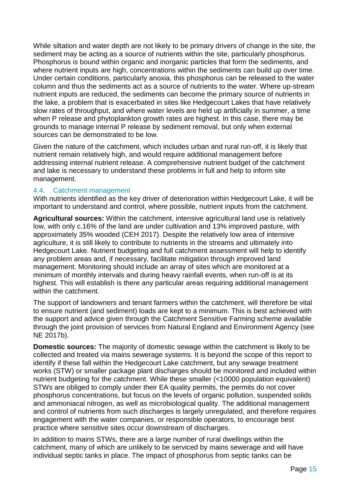While siltation and water depth are not likely to be primary drivers of change in the site, the sediment may be acting as a source of nutrients within the site, particularly phosphorus. Phosphorus is bound within organic and inorganic particles that form the sediments, and where nutrient inputs are high, concentrations within the sediments can build up over time. Under certain conditions, particularly anoxia, this phosphorus can be released to the water column and thus the sediments act as a source of nutrients to the water. Where up-stream nutrient inputs are reduced, the sediments can become the primary source of nutrients in the lake, a problem that is exacerbated in sites like Hedgecourt Lakes that have relatively slow rates of throughput, and where water levels are held up artificially in summer, a time when P release and phytoplankton growth rates are highest. In this case, there may be grounds to manage internal P release by sediment removal, but only when external sources can be demonstrated to be low.

Given the nature of the catchment, which includes urban and rural run-off, it is likely that nutrient remain relatively high, and would require additional management before addressing internal nutrient release. A comprehensive nutrient budget of the catchment and lake is necessary to understand these problems in full and help to inform site management.

#### <span id="page-18-0"></span>4.4. Catchment management

With nutrients identified as the key driver of deterioration within Hedgecourt Lake, it will be important to understand and control, where possible, nutrient inputs from the catchment.

**Agricultural sources:** Within the catchment, intensive agricultural land use is relatively low, with only c.16% of the land are under cultivation and 13% improved pasture, with approximately 35% wooded (CEH 2017). Despite the relatively low area of intensive agriculture, it is still likely to contribute to nutrients in the streams and ultimately into Hedgecourt Lake. Nutrient budgeting and full catchment assessment will help to identify any problem areas and, if necessary, facilitate mitigation through improved land management. Monitoring should include an array of sites which are monitored at a minimum of monthly intervals and during heavy rainfall events, when run-off is at its highest. This will establish is there any particular areas requiring additional management within the catchment.

The support of landowners and tenant farmers within the catchment, will therefore be vital to ensure nutrient (and sediment) loads are kept to a minimum. This is best achieved with the support and advice given through the Catchment Sensitive Farming scheme available through the joint provision of services from Natural England and Environment Agency (see NE 2017b).

**Domestic sources:** The majority of domestic sewage within the catchment is likely to be collected and treated via mains sewerage systems. It is beyond the scope of this report to identify if these fall within the Hedgecourt Lake catchment, but any sewage treatment works (STW) or smaller package plant discharges should be monitored and included within nutrient budgeting for the catchment. While these smaller (<10000 population equivalent) STWs are obliged to comply under their EA quality permits, the permits do not cover phosphorus concentrations, but focus on the levels of organic pollution, suspended solids and ammoniacal nitrogen, as well as microbiological quality. The additional management and control of nutrients from such discharges is largely unregulated, and therefore requires engagement with the water companies, or responsible operators, to encourage best practice where sensitive sites occur downstream of discharges.

In addition to mains STWs, there are a large number of rural dwellings within the catchment, many of which are unlikely to be serviced by mains sewerage and will have individual septic tanks in place. The impact of phosphorus from septic tanks can be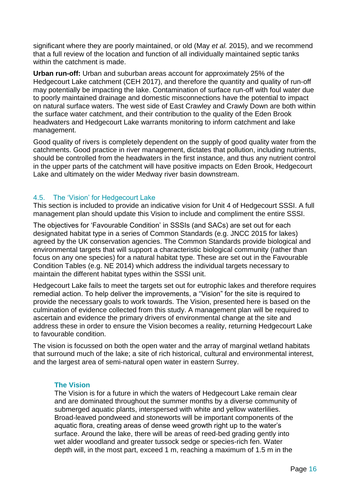significant where they are poorly maintained, or old (May *et al.* 2015), and we recommend that a full review of the location and function of all individually maintained septic tanks within the catchment is made.

**Urban run-off:** Urban and suburban areas account for approximately 25% of the Hedgecourt Lake catchment (CEH 2017), and therefore the quantity and quality of run-off may potentially be impacting the lake. Contamination of surface run-off with foul water due to poorly maintained drainage and domestic misconnections have the potential to impact on natural surface waters. The west side of East Crawley and Crawly Down are both within the surface water catchment, and their contribution to the quality of the Eden Brook headwaters and Hedgecourt Lake warrants monitoring to inform catchment and lake management.

Good quality of rivers is completely dependent on the supply of good quality water from the catchments. Good practice in river management, dictates that pollution, including nutrients, should be controlled from the headwaters in the first instance, and thus any nutrient control in the upper parts of the catchment will have positive impacts on Eden Brook, Hedgecourt Lake and ultimately on the wider Medway river basin downstream.

#### <span id="page-19-0"></span>4.5. The 'Vision' for Hedgecourt Lake

This section is included to provide an indicative vision for Unit 4 of Hedgecourt SSSI. A full management plan should update this Vision to include and compliment the entire SSSI.

The objectives for 'Favourable Condition' in SSSIs (and SACs) are set out for each designated habitat type in a series of Common Standards (e.g. JNCC 2015 for lakes) agreed by the UK conservation agencies. The Common Standards provide biological and environmental targets that will support a characteristic biological community (rather than focus on any one species) for a natural habitat type. These are set out in the Favourable Condition Tables (e.g. NE 2014) which address the individual targets necessary to maintain the different habitat types within the SSSI unit.

Hedgecourt Lake fails to meet the targets set out for eutrophic lakes and therefore requires remedial action. To help deliver the improvements, a "Vision" for the site is required to provide the necessary goals to work towards. The Vision, presented here is based on the culmination of evidence collected from this study. A management plan will be required to ascertain and evidence the primary drivers of environmental change at the site and address these in order to ensure the Vision becomes a reality, returning Hedgecourt Lake to favourable condition.

The vision is focussed on both the open water and the array of marginal wetland habitats that surround much of the lake; a site of rich historical, cultural and environmental interest, and the largest area of semi-natural open water in eastern Surrey.

#### **The Vision**

The Vision is for a future in which the waters of Hedgecourt Lake remain clear and are dominated throughout the summer months by a diverse community of submerged aquatic plants, interspersed with white and yellow waterlilies. Broad-leaved pondweed and stoneworts will be important components of the aquatic flora, creating areas of dense weed growth right up to the water's surface. Around the lake, there will be areas of reed-bed grading gently into wet alder woodland and greater tussock sedge or species-rich fen. Water depth will, in the most part, exceed 1 m, reaching a maximum of 1.5 m in the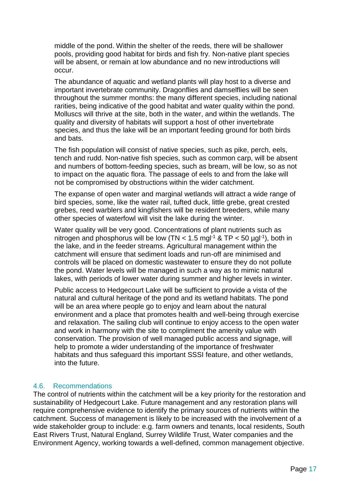middle of the pond. Within the shelter of the reeds, there will be shallower pools, providing good habitat for birds and fish fry. Non-native plant species will be absent, or remain at low abundance and no new introductions will occur.

The abundance of aquatic and wetland plants will play host to a diverse and important invertebrate community. Dragonflies and damselflies will be seen throughout the summer months: the many different species, including national rarities, being indicative of the good habitat and water quality within the pond. Molluscs will thrive at the site, both in the water, and within the wetlands. The quality and diversity of habitats will support a host of other invertebrate species, and thus the lake will be an important feeding ground for both birds and bats.

The fish population will consist of native species, such as pike, perch, eels, tench and rudd. Non-native fish species, such as common carp, will be absent and numbers of bottom-feeding species, such as bream, will be low, so as not to impact on the aquatic flora. The passage of eels to and from the lake will not be compromised by obstructions within the wider catchment.

The expanse of open water and marginal wetlands will attract a wide range of bird species, some, like the water rail, tufted duck, little grebe, great crested grebes, reed warblers and kingfishers will be resident breeders, while many other species of waterfowl will visit the lake during the winter.

Water quality will be very good. Concentrations of plant nutrients such as nitrogen and phosphorus will be low (TN <  $1.5$  mgl<sup>-1</sup> & TP <  $50$  µgl<sup>-1</sup>), both in the lake, and in the feeder streams. Agricultural management within the catchment will ensure that sediment loads and run-off are minimised and controls will be placed on domestic wastewater to ensure they do not pollute the pond. Water levels will be managed in such a way as to mimic natural lakes, with periods of lower water during summer and higher levels in winter.

Public access to Hedgecourt Lake will be sufficient to provide a vista of the natural and cultural heritage of the pond and its wetland habitats. The pond will be an area where people go to enjoy and learn about the natural environment and a place that promotes health and well-being through exercise and relaxation. The sailing club will continue to enjoy access to the open water and work in harmony with the site to compliment the amenity value with conservation. The provision of well managed public access and signage, will help to promote a wider understanding of the importance of freshwater habitats and thus safeguard this important SSSI feature, and other wetlands, into the future.

#### <span id="page-20-0"></span>4.6. Recommendations

The control of nutrients within the catchment will be a key priority for the restoration and sustainability of Hedgecourt Lake. Future management and any restoration plans will require comprehensive evidence to identify the primary sources of nutrients within the catchment. Success of management is likely to be increased with the involvement of a wide stakeholder group to include: e.g. farm owners and tenants, local residents, South East Rivers Trust, Natural England, Surrey Wildlife Trust, Water companies and the Environment Agency, working towards a well-defined, common management objective.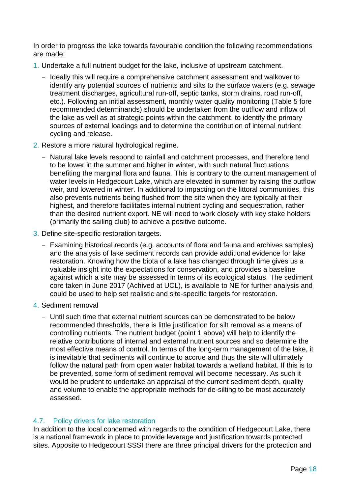In order to progress the lake towards favourable condition the following recommendations are made:

- 1. Undertake a full nutrient budget for the lake, inclusive of upstream catchment.
	- Ideally this will require a comprehensive catchment assessment and walkover to identify any potential sources of nutrients and silts to the surface waters (e.g. sewage treatment discharges, agricultural run-off, septic tanks, storm drains, road run-off, etc.). Following an initial assessment, monthly water quality monitoring [\(Table 5](#page-25-2) fore recommended determinands) should be undertaken from the outflow and inflow of the lake as well as at strategic points within the catchment, to identify the primary sources of external loadings and to determine the contribution of internal nutrient cycling and release.
- 2. Restore a more natural hydrological regime.
	- Natural lake levels respond to rainfall and catchment processes, and therefore tend to be lower in the summer and higher in winter, with such natural fluctuations benefiting the marginal flora and fauna. This is contrary to the current management of water levels in Hedgecourt Lake, which are elevated in summer by raising the outflow weir, and lowered in winter. In additional to impacting on the littoral communities, this also prevents nutrients being flushed from the site when they are typically at their highest, and therefore facilitates internal nutrient cycling and sequestration, rather than the desired nutrient export. NE will need to work closely with key stake holders (primarily the sailing club) to achieve a positive outcome.
- 3. Define site-specific restoration targets.
	- Examining historical records (e.g. accounts of flora and fauna and archives samples) and the analysis of lake sediment records can provide additional evidence for lake restoration. Knowing how the biota of a lake has changed through time gives us a valuable insight into the expectations for conservation, and provides a baseline against which a site may be assessed in terms of its ecological status. The sediment core taken in June 2017 (Achived at UCL), is available to NE for further analysis and could be used to help set realistic and site-specific targets for restoration.
- 4. Sediment removal
	- Until such time that external nutrient sources can be demonstrated to be below recommended thresholds, there is little justification for silt removal as a means of controlling nutrients. The nutrient budget (point 1 above) will help to identify the relative contributions of internal and external nutrient sources and so determine the most effective means of control. In terms of the long-term management of the lake, it is inevitable that sediments will continue to accrue and thus the site will ultimately follow the natural path from open water habitat towards a wetland habitat. If this is to be prevented, some form of sediment removal will become necessary. As such it would be prudent to undertake an appraisal of the current sediment depth, quality and volume to enable the appropriate methods for de-silting to be most accurately assessed.

#### <span id="page-21-0"></span>4.7. Policy drivers for lake restoration

In addition to the local concerned with regards to the condition of Hedgecourt Lake, there is a national framework in place to provide leverage and justification towards protected sites. Apposite to Hedgecourt SSSI there are three principal drivers for the protection and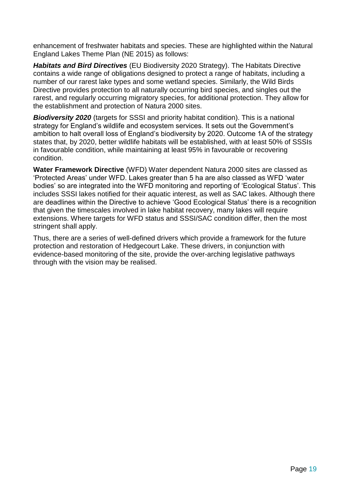enhancement of freshwater habitats and species. These are highlighted within the Natural England Lakes Theme Plan (NE 2015) as follows:

*Habitats and Bird Directives* (EU Biodiversity 2020 Strategy). The Habitats Directive contains a wide range of obligations designed to protect a range of habitats, including a number of our rarest lake types and some wetland species. Similarly, the Wild Birds Directive provides protection to all naturally occurring bird species, and singles out the rarest, and regularly occurring migratory species, for additional protection. They allow for the establishment and protection of Natura 2000 sites.

*Biodiversity 2020* (targets for SSSI and priority habitat condition). This is a national strategy for England's wildlife and ecosystem services. It sets out the Government's ambition to halt overall loss of England's biodiversity by 2020. Outcome 1A of the strategy states that, by 2020, better wildlife habitats will be established, with at least 50% of SSSIs in favourable condition, while maintaining at least 95% in favourable or recovering condition.

**Water Framework Directive** (WFD) Water dependent Natura 2000 sites are classed as 'Protected Areas' under WFD. Lakes greater than 5 ha are also classed as WFD 'water bodies' so are integrated into the WFD monitoring and reporting of 'Ecological Status'. This includes SSSI lakes notified for their aquatic interest, as well as SAC lakes. Although there are deadlines within the Directive to achieve 'Good Ecological Status' there is a recognition that given the timescales involved in lake habitat recovery, many lakes will require extensions. Where targets for WFD status and SSSI/SAC condition differ, then the most stringent shall apply.

Thus, there are a series of well-defined drivers which provide a framework for the future protection and restoration of Hedgecourt Lake. These drivers, in conjunction with evidence-based monitoring of the site, provide the over-arching legislative pathways through with the vision may be realised.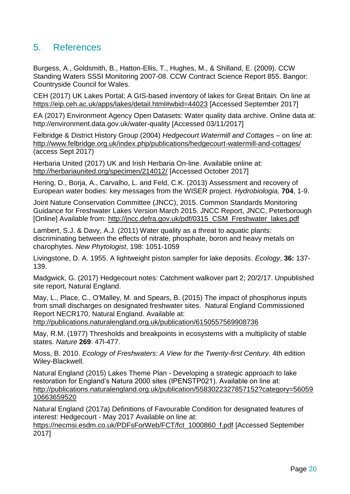## <span id="page-23-0"></span>5. References

Burgess, A., Goldsmith, B., Hatton-Ellis, T., Hughes, M., & Shilland, E. (2009). CCW Standing Waters SSSI Monitoring 2007-08. CCW Contract Science Report 855. Bangor: Countryside Council for Wales.

CEH (2017) UK Lakes Portal; A GIS-based inventory of lakes for Great Britain. On line at <https://eip.ceh.ac.uk/apps/lakes/detail.html#wbid=44023> [Accessed September 2017]

EA (2017) Environment Agency Open Datasets: Water quality data archive. Online data at: http://environment.data.gov.uk/water-quality [Accessed 03/11/2017]

Felbridge & District History Group (2004) *Hedgecourt Watermill and Cottages* – on line at: <http://www.felbridge.org.uk/index.php/publications/hedgecourt-watermill-and-cottages/> (access Sept 2017)

Herbaria United (2017) UK and Irish Herbaria On-line. Available online at: <http://herbariaunited.org/specimen/214012/> [Accessed October 2017]

Hering, D., Borja, A., Carvalho, L. and Feld, C.K. (2013) Assessment and recovery of European water bodies: key messages from the WISER project. *Hydrobiologia,* **704**, 1-9.

Joint Nature Conservation Committee (JNCC), 2015. Common Standards Monitoring Guidance for Freshwater Lakes Version March 2015. JNCC Report, JNCC, Peterborough [Online] Available from: [http://jncc.defra.gov.uk/pdf/0315\\_CSM\\_Freshwater\\_lakes.pdf](http://jncc.defra.gov.uk/pdf/0315_CSM_Freshwater_lakes.pdf)

Lambert, S.J. & Davy, A.J. (2011) Water quality as a threat to aquatic plants: discriminating between the effects of nitrate, phosphate, boron and heavy metals on charophytes. *New Phytologist*, 198: 1051-1059

Livingstone, D. A. 1955. A lightweight piston sampler for lake deposits. *Ecology*, **36:** 137- 139.

Madgwick, G. (2017) Hedgecourt notes: Catchment walkover part 2; 20/2/17. Unpublished site report, Natural England.

May, L., Place, C., O'Malley, M. and Spears, B. (2015) The impact of phosphorus inputs from small discharges on designated freshwater sites. Natural England Commissioned Report NECR170, Natural England. Available at:

<http://publications.naturalengland.org.uk/publication/6150557569908736>

May, R.M. (1977) Thresholds and breakpoints in ecosystems with a multiplicity of stable states. *Nature* **269**: 47l-477.

Moss, B. 2010. *Ecology of Freshwaters: A View for the Twenty-first Century*. 4th edition Wiley-Blackwell.

Natural England (2015) Lakes Theme Plan - Developing a strategic approach to lake restoration for England's Natura 2000 sites (IPENSTP021). Available on line at: [http://publications.naturalengland.org.uk/publication/5583022327857152?category=56059](http://publications.naturalengland.org.uk/publication/5583022327857152?category=5605910663659520) [10663659520](http://publications.naturalengland.org.uk/publication/5583022327857152?category=5605910663659520)

Natural England (2017a) Definitions of Favourable Condition for designated features of interest: Hedgecourt - May 2017 Available on line at:

[https://necmsi.esdm.co.uk/PDFsForWeb/FCT/fct\\_1000860\\_f.pdf](https://necmsi.esdm.co.uk/PDFsForWeb/FCT/fct_1000860_f.pdf) [Accessed September 2017]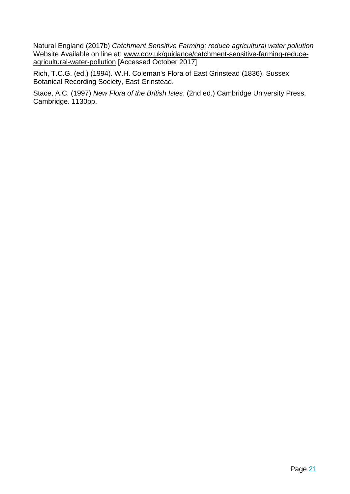Natural England (2017b) *Catchment Sensitive Farming: reduce agricultural water pollution* Website Available on line at: [www.gov.uk/guidance/catchment-sensitive-farming-reduce](http://www.gov.uk/guidance/catchment-sensitive-farming-reduce-agricultural-water-pollution)[agricultural-water-pollution](http://www.gov.uk/guidance/catchment-sensitive-farming-reduce-agricultural-water-pollution) [Accessed October 2017]

Rich, T.C.G. (ed.) (1994). W.H. Coleman's Flora of East Grinstead (1836). Sussex Botanical Recording Society, East Grinstead.

Stace, A.C. (1997) *New Flora of the British Isles*. (2nd ed.) Cambridge University Press, Cambridge. 1130pp.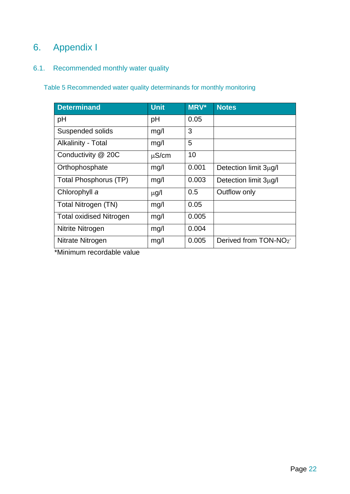## <span id="page-25-0"></span>6. Appendix I

### <span id="page-25-1"></span>6.1. Recommended monthly water quality

<span id="page-25-2"></span>Table 5 Recommended water quality determinands for monthly monitoring

| <b>Determinand</b>             | <b>Unit</b> | <b>MRV*</b> | <b>Notes</b>                     |
|--------------------------------|-------------|-------------|----------------------------------|
| pH                             | pH          | 0.05        |                                  |
| Suspended solids               | mg/l        | 3           |                                  |
| <b>Alkalinity - Total</b>      | mg/l        | 5           |                                  |
| Conductivity @ 20C             | $\mu$ S/cm  | 10          |                                  |
| Orthophosphate                 | mg/l        | 0.001       | Detection limit 3µg/l            |
| Total Phosphorus (TP)          | mg/l        | 0.003       | Detection limit 3µg/l            |
| Chlorophyll a                  | $\mu$ g/l   | 0.5         | Outflow only                     |
| Total Nitrogen (TN)            | mg/l        | 0.05        |                                  |
| <b>Total oxidised Nitrogen</b> | mg/l        | 0.005       |                                  |
| Nitrite Nitrogen               | mg/l        | 0.004       |                                  |
| Nitrate Nitrogen               | mg/l        | 0.005       | Derived from TON-NO <sub>2</sub> |

\*Minimum recordable value